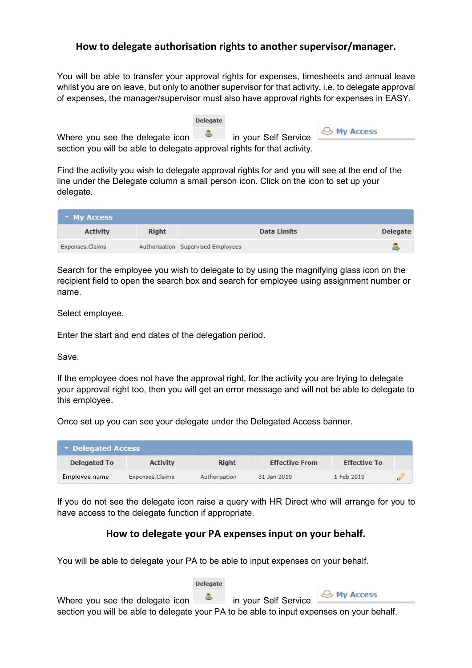## How to delegate authorisation rights to another supervisor/manager.

You will be able to transfer your approval rights for expenses, timesheets and annual leave whilst you are on leave, but only to another supervisor for that activity. i.e. to delegate approval of expenses, the manager/supervisor must also have approval rights for expenses in EASY.

|                                                                         | <b>Delegate</b> |                        |
|-------------------------------------------------------------------------|-----------------|------------------------|
| Where you see the delegate icon $\qquad \qquad$ in your Self Service    |                 | <b>&amp; My Access</b> |
| section you will be able to delegate approval rights for that activity. |                 |                        |

Find the activity you wish to delegate approval rights for and you will see at the end of the line under the Delegate column a small person icon. Click on the icon to set up your delegate.

| * My Access     |              |                                    |                    |                 |
|-----------------|--------------|------------------------------------|--------------------|-----------------|
| <b>Activity</b> | <b>Right</b> |                                    | <b>Data Limits</b> | <b>Delegate</b> |
| Expenses.Claims |              | Authorisation Supervised Employees |                    |                 |

Search for the employee you wish to delegate to by using the magnifying glass icon on the recipient field to open the search box and search for employee using assignment number or name.

Select employee.

Enter the start and end dates of the delegation period.

Save.

If the employee does not have the approval right, for the activity you are trying to delegate your approval right too, then you will get an error message and will not be able to delegate to this employee.

Once set up you can see your delegate under the Delegated Access banner.

| Delegated Access    |                 |               |                       |                     |   |
|---------------------|-----------------|---------------|-----------------------|---------------------|---|
| <b>Delegated To</b> | <b>Activity</b> | <b>Right</b>  | <b>Effective From</b> | <b>Effective To</b> |   |
| Employee name       | Expenses.Claims | Authorisation | 31 Jan 2019           | 1 Feb 2019          | c |

If you do not see the delegate icon raise a query with HR Direct who will arrange for you to have access to the delegate function if appropriate.

## How to delegate your PA expenses input on your behalf.

You will be able to delegate your PA to be able to input expenses on your behalf.

**Delegate** 

← My Access

Where you see the delegate icon **in** in your Self Service section you will be able to delegate your PA to be able to input expenses on your behalf.